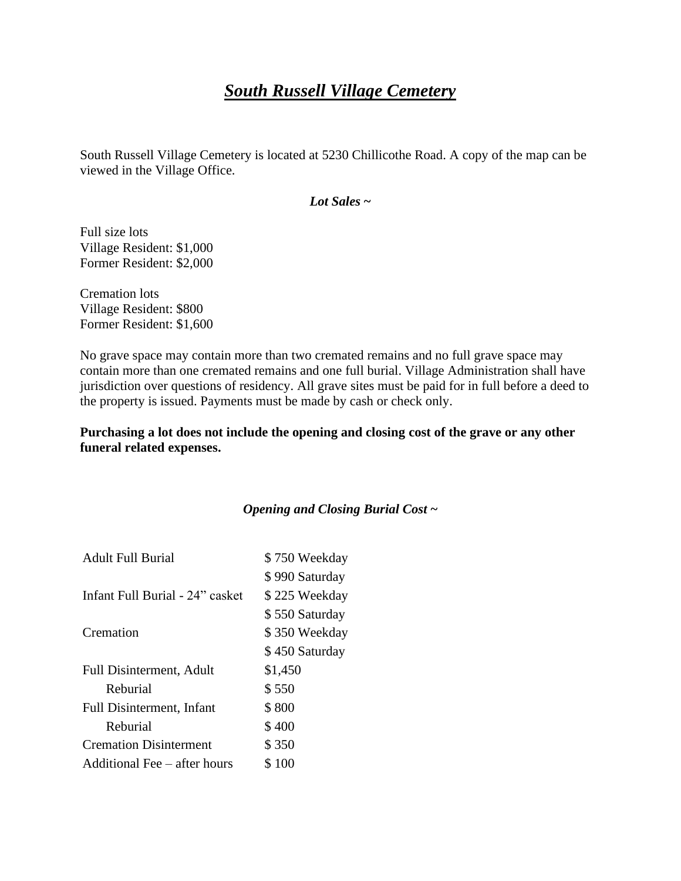# *South Russell Village Cemetery*

South Russell Village Cemetery is located at 5230 Chillicothe Road. A copy of the map can be viewed in the Village Office.

*Lot Sales* **~**

Full size lots Village Resident: \$1,000 Former Resident: \$2,000

Cremation lots Village Resident: \$800 Former Resident: \$1,600

No grave space may contain more than two cremated remains and no full grave space may contain more than one cremated remains and one full burial. Village Administration shall have jurisdiction over questions of residency. All grave sites must be paid for in full before a deed to the property is issued. Payments must be made by cash or check only.

**Purchasing a lot does not include the opening and closing cost of the grave or any other funeral related expenses.**

#### *Opening and Closing Burial Cost* **~**

| <b>Adult Full Burial</b>         | \$750 Weekday  |
|----------------------------------|----------------|
|                                  | \$990 Saturday |
| Infant Full Burial - 24" casket  | \$225 Weekday  |
|                                  | \$550 Saturday |
| Cremation                        | \$350 Weekday  |
|                                  | \$450 Saturday |
| <b>Full Disinterment, Adult</b>  | \$1,450        |
| Reburial                         | \$550          |
| <b>Full Disinterment, Infant</b> | \$800          |
| Reburial                         | \$400          |
| <b>Cremation Disinterment</b>    | \$350          |
| Additional Fee – after hours     | \$100          |
|                                  |                |